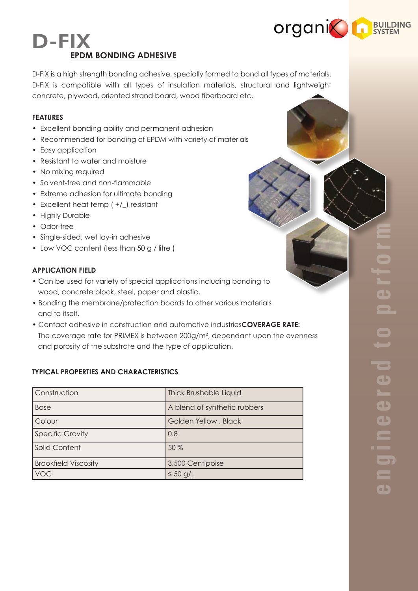

# D-FIX **EPDM BONDING ADHESIVE**

D-FIX is a high strength bonding adhesive, specially formed to bond all types of materials. D-FIX is compatible with all types of insulation materials, structural and lightweight concrete, plywood, oriented strand board, wood fiberboard etc.

## **FEATURES**

- Excellent bonding ability and permanent adhesion
- Recommended for bonding of EPDM with variety of materials
- Easy application
- Resistant to water and moisture
- No mixing required
- Solvent-free and non-flammable
- Extreme adhesion for ultimate bonding
- Excellent heat temp ( +/\_) resistant
- Highly Durable
- Odor-free
- Single-sided, wet lay-in adhesive
- Low VOC content (less than 50 g / litre )

# **APPLICATION FIELD**

- Can be used for variety of special applications including bonding to wood, concrete block, steel, paper and plastic.
- Bonding the membrane/protection boards to other various materials and to itself.
- Contact adhesive in construction and automotive industries**COVERAGE RATE:** The coverage rate for PRIMEX is between 200g/m², dependant upon the evenness and porosity of the substrate and the type of application.

# **TYPICAL PROPERTIES AND CHARACTERISTICS**

| Construction                | <b>Thick Brushable Liquid</b> |
|-----------------------------|-------------------------------|
| <b>Base</b>                 | A blend of synthetic rubbers  |
| Colour                      | Golden Yellow, Black          |
| <b>Specific Gravity</b>     | 0.8                           |
| <b>Solid Content</b>        | 50 %                          |
| <b>Brookfield Viscosity</b> | 3,500 Centipoise              |
| <b>VOC</b>                  | $\leq 50$ g/L                 |